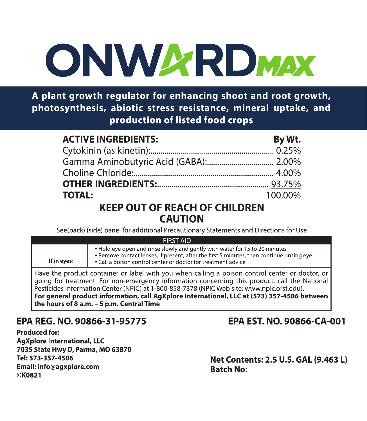# **ONWARDMAX**

A plant growth regulator for enhancing shoot and root growth, photosynthesis, abiotic stress resistance, mineral uptake, and production of listed food crops

| <b>ACTIVE INGREDIENTS:</b> | By Wt.  |
|----------------------------|---------|
|                            |         |
|                            |         |
|                            |         |
|                            |         |
| <b>TOTAL:</b>              | 100.00% |

## **KEEP OUT OF REACH OF CHILDREN CAUTION**

See(back) (side) panel for additional Precautionary Statements and Directions for Use

| <b>FIRST AID</b>                                                                                                                                                                                                                                                                                                                                                                                                                             |                                                                                                                                                                                                                                           |  |
|----------------------------------------------------------------------------------------------------------------------------------------------------------------------------------------------------------------------------------------------------------------------------------------------------------------------------------------------------------------------------------------------------------------------------------------------|-------------------------------------------------------------------------------------------------------------------------------------------------------------------------------------------------------------------------------------------|--|
| If in eyes:                                                                                                                                                                                                                                                                                                                                                                                                                                  | . Hold eve open and rinse slowly and gently with water for 15 to 20 minutes<br>. Remove contact lenses, if present, after the first 5 minutes, then continue rinsing eye<br>. Call a poison control center or doctor for treatment advice |  |
| Have the product container or label with you when calling a poison control center or doctor, or<br>going for treatment. For non-emergency information concerning this product, call the National<br>Pesticides Information Center (NPIC) at 1-800-858-7378 (NPIC Web site: www.npic.orst.edu).<br>For general product information, call AgXplore International, LLC at (573) 357-4506 between<br>l the hours of 8 a.m. – 5 p.m. Central Time |                                                                                                                                                                                                                                           |  |

# EPA REG. NO. 90866-31-95775

Produced for: **AgXplore International, LLC** 7035 State Hwy D, Parma, MO 63870 Tel: 573-357-4506 Email: info@agxplore.com ©K0821

# EPA EST. NO. 90866-CA-001

Net Contents: 2.5 U.S. GAL (9.463 L) **Batch No:**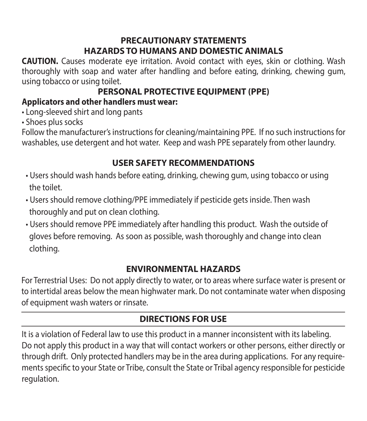## **PRECAUTIONARY STATEMENTS HAZARDS TO HUMANS AND DOMESTIC ANIMALS**

**CAUTION.** Causes moderate eye irritation. Avoid contact with eyes, skin or clothing. Wash thoroughly with soap and water after handling and before eating, drinking, chewing gum, using tobacco or using toilet.

# **PERSONAL PROTECTIVE EQUIPMENT (PPE)**

## **Applicators and other handlers must wear:**

• Long-sleeved shirt and long pants

• Shoes plus socks

Follow the manufacturer's instructions for cleaning/maintaining PPE. If no such instructions for washables, use detergent and hot water. Keep and wash PPE separately from other laundry.

# **USER SAFETY RECOMMENDATIONS**

- Users should wash hands before eating, drinking, chewing gum, using tobacco or using the toilet.
- Users should remove clothing/PPE immediately if pesticide gets inside. Then wash thoroughly and put on clean clothing.
- Users should remove PPE immediately after handling this product. Wash the outside of gloves before removing. As soon as possible, wash thoroughly and change into clean clothing.

## **ENVIRONMENTAL HAZARDS**

For Terrestrial Uses: Do not apply directly to water, or to areas where surface water is present or to intertidal areas below the mean highwater mark. Do not contaminate water when disposing of equipment wash waters or rinsate.

# **DIRECTIONS FOR USE**

It is a violation of Federal law to use this product in a manner inconsistent with its labeling. Do not apply this product in a way that will contact workers or other persons, either directly or through drift. Only protected handlers may be in the area during applications. For any requirements specific to your State or Tribe, consult the State or Tribal agency responsible for pesticide regulation.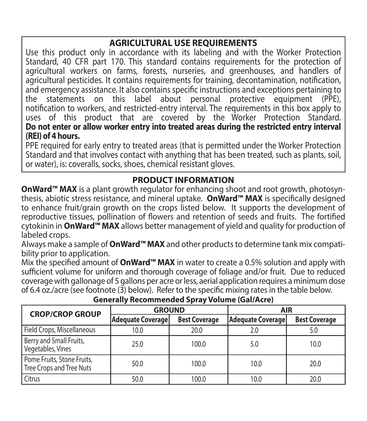## **AGRICULTURAL USE REQUIREMENTS**

Use this product only in accordance with its labeling and with the Worker Protection Standard, 40 CFR part 170. This standard contains requirements for the protection of agricultural workers on farms, forests, nurseries, and greenhouses, and handlers of agricultural pesticides. It contains requirements for training, decontamination, notification, and emergency assistance. It also contains specific instructions and exceptions pertaining to the statements on this label about personal protective equipment (PPE), notification to workers, and restricted-entry interval. The requirements in this box apply to uses of this product that are covered by the Worker Protection Standard. **Do not enter or allow worker entry into treated areas during the restricted entry interval (REI) of 4 hours.**

PPE required for early entry to treated areas (that is permitted under the Worker Protection Standard and that involves contact with anything that has been treated, such as plants, soil, or water), is: coveralls, socks, shoes, chemical resistant gloves.

#### **PRODUCT INFORMATION**

**OnWard™ MAX** is a plant growth regulator for enhancing shoot and root growth, photosynthesis, abiotic stress resistance, and mineral uptake. **OnWard™ MAX** is specifically designed to enhance fruit/grain growth on the crops listed below. It supports the development of reproductive tissues, pollination of flowers and retention of seeds and fruits. The fortified cytokinin in **OnWard™ MAX** allows better management of yield and quality for production of labeled crops.

Always make a sample of **OnWard™ MAX** and other products to determine tank mix compatibility prior to application.

Mix the specified amount of **OnWard™ MAX** in water to create a 0.5% solution and apply with sufficient volume for uniform and thorough coverage of foliage and/or fruit. Due to reduced coverage with gallonage of 5 gallons per acre or less, aerial application requires a minimum dose of 6.4 oz./acre (see footnote (3) below). Refer to the specific mixing rates in the table below.

| <b>CROP/CROP GROUP</b>                                 | <b>GROUND</b>            |                      | <b>AIR</b>               |                      |
|--------------------------------------------------------|--------------------------|----------------------|--------------------------|----------------------|
|                                                        | <b>Adequate Coverage</b> | <b>Best Coverage</b> | <b>Adequate Coverage</b> | <b>Best Coverage</b> |
| Field Crops, Miscellaneous                             | 10.0                     | 20.0                 | 2.0                      | 5.0                  |
| Berry and Small Fruits,<br>Vegetables, Vines           | 25.0                     | 100.0                | 5.0                      | 10.0                 |
| Pome Fruits, Stone Fruits,<br>Tree Crops and Tree Nuts | 50.0                     | 100.0                | 10.0                     | 20.0                 |
| Citrus                                                 | 50.0                     | 100.0                | 10.0                     | 20.0                 |

#### **Generally Recommended Spray Volume (Gal/Acre)**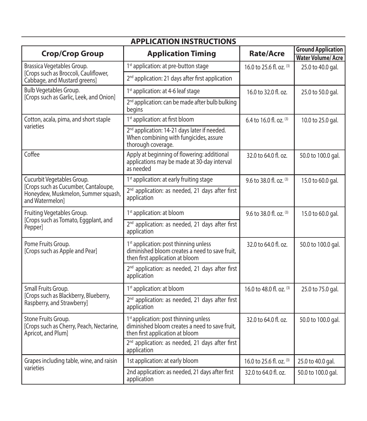| <b>APPLICATION INSTRUCTIONS</b>                                                                     |                                                                                                                                        |                           |                                                       |  |
|-----------------------------------------------------------------------------------------------------|----------------------------------------------------------------------------------------------------------------------------------------|---------------------------|-------------------------------------------------------|--|
| <b>Crop/Crop Group</b>                                                                              | <b>Application Timing</b>                                                                                                              | Rate/Acre                 | <b>Ground Application</b><br><b>Water Volume/Acre</b> |  |
| Brassica Vegetables Group.<br>[Crops such as Broccoli, Cauliflower,<br>Cabbage, and Mustard greens] | 1 <sup>st</sup> application: at pre-button stage                                                                                       | 16.0 to 25.6 fl. oz. (3)  | 25.0 to 40.0 gal.                                     |  |
|                                                                                                     | 2 <sup>nd</sup> application: 21 days after first application                                                                           |                           |                                                       |  |
| Bulb Vegetables Group.<br>[Crops such as Garlic, Leek, and Onion]                                   | 1 <sup>st</sup> application: at 4-6 leaf stage                                                                                         | 16.0 to 32.0 fl. oz.      | 25.0 to 50.0 gal.                                     |  |
|                                                                                                     | 2 <sup>nd</sup> application: can be made after bulb bulking<br>begins                                                                  |                           |                                                       |  |
| Cotton, acala, pima, and short staple                                                               | 1 <sup>st</sup> application: at first bloom                                                                                            | 6.4 to 16.0 fl. oz. $(3)$ | 10.0 to 25.0 gal.                                     |  |
| varieties                                                                                           | 2 <sup>nd</sup> application: 14-21 days later if needed.<br>When combining with fungicides, assure<br>thorough coverage.               |                           |                                                       |  |
| Coffee                                                                                              | Apply at beginning of flowering: additional<br>applications may be made at 30-day interval<br>hebeen za                                | 32.0 to 64.0 fl. oz.      | 50.0 to 100.0 gal.                                    |  |
| Cucurbit Vegetables Group.                                                                          | 1st application: at early fruiting stage                                                                                               | 9.6 to 38.0 fl. oz. $(3)$ | 15.0 to 60.0 gal.                                     |  |
| [Crops such as Cucumber, Cantaloupe,<br>Honeydew, Muskmelon, Summer squash,<br>and Watermelon1      | 2 <sup>nd</sup> application: as needed, 21 days after first<br>application                                                             |                           |                                                       |  |
| Fruiting Vegetables Group.                                                                          | 1 <sup>st</sup> application: at bloom                                                                                                  | 9.6 to 38.0 fl. oz. (3)   | 15.0 to 60.0 gal.                                     |  |
| [Crops such as Tomato, Eggplant, and<br>Pepper]                                                     | 2 <sup>nd</sup> application: as needed, 21 days after first<br>application                                                             |                           |                                                       |  |
| Pome Fruits Group.<br>[Crops such as Apple and Pear]                                                | 1 <sup>st</sup> application: post thinning unless<br>diminished bloom creates a need to save fruit.<br>then first application at bloom | 32.0 to 64.0 fl. oz.      | 50.0 to 100.0 gal.                                    |  |
|                                                                                                     | 2 <sup>nd</sup> application: as needed, 21 days after first<br>application                                                             |                           |                                                       |  |
| Small Fruits Group.<br>[Crops such as Blackberry, Blueberry,<br>Raspberry, and Strawberry]          | 1st application: at bloom                                                                                                              | 16.0 to 48.0 fl. oz. (3)  | 25.0 to 75.0 gal.                                     |  |
|                                                                                                     | 2 <sup>nd</sup> application: as needed, 21 days after first<br>application                                                             |                           |                                                       |  |
| Stone Fruits Group.<br>[Crops such as Cherry, Peach, Nectarine,<br>Apricot, and Plum]               | 1st application: post thinning unless<br>diminished bloom creates a need to save fruit.<br>then first application at bloom             | 32.0 to 64.0 fl. oz.      | 50.0 to 100.0 gal.                                    |  |
|                                                                                                     | 2 <sup>nd</sup> application: as needed, 21 days after first<br>application                                                             |                           |                                                       |  |
| Grapes including table, wine, and raisin                                                            | 1st application: at early bloom                                                                                                        | 16.0 to 25.6 fl. oz. (3)  | 25.0 to 40.0 gal.                                     |  |
| varieties                                                                                           | 2nd application: as needed, 21 days after first<br>application                                                                         | 32.0 to 64.0 fl. oz.      | 50.0 to 100.0 gal.                                    |  |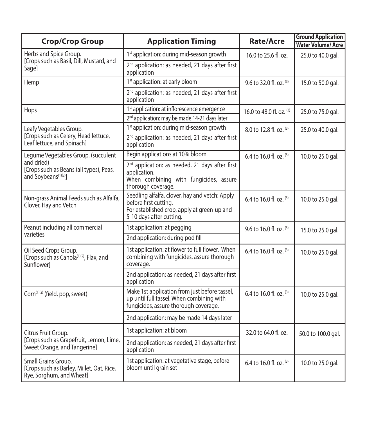| <b>Crop/Crop Group</b>                                                                         | <b>Application Timing</b>                                                                                                                          | Rate/Acre                 | <b>Ground Application</b><br><b>Water Volume/Acre</b> |
|------------------------------------------------------------------------------------------------|----------------------------------------------------------------------------------------------------------------------------------------------------|---------------------------|-------------------------------------------------------|
| Herbs and Spice Group.<br>[Crops such as Basil, Dill, Mustard, and<br>Sage]                    | 1st application: during mid-season growth                                                                                                          | 16.0 to 25.6 fl. oz.      | 25.0 to 40.0 gal.                                     |
|                                                                                                | 2 <sup>nd</sup> application: as needed, 21 days after first<br>application                                                                         |                           |                                                       |
| Hemp                                                                                           | 1st application: at early bloom                                                                                                                    | 9.6 to 32.0 fl. oz. $(3)$ | 15.0 to 50.0 gal.                                     |
|                                                                                                | 2 <sup>nd</sup> application: as needed, 21 days after first<br>application                                                                         |                           |                                                       |
| Hops                                                                                           | 1st application: at inflorescence emergence                                                                                                        | 16.0 to 48.0 fl. oz. (3)  | 25.0 to 75.0 gal.                                     |
|                                                                                                | 2 <sup>nd</sup> application: may be made 14-21 days later                                                                                          |                           |                                                       |
| Leafy Vegetables Group.                                                                        | 1st application: during mid-season growth                                                                                                          | 8.0 to 12.8 fl. oz. (3)   | 25.0 to 40.0 gal.                                     |
| [Crops such as Celery, Head lettuce,<br>Leaf lettuce, and Spinach]                             | 2 <sup>nd</sup> application: as needed, 21 days after first<br>application                                                                         |                           |                                                       |
| Legume Vegetables Group. (succulent                                                            | Begin applications at 10% bloom                                                                                                                    | 6.4 to 16.0 fl. oz. (3)   | 10.0 to 25.0 gal.                                     |
| and dried)<br>[Crops such as Beans (all types), Peas,<br>and Soybeans <sup>(1)(2)</sup> ]      | 2 <sup>nd</sup> application: as needed, 21 days after first<br>application.<br>When combining with fungicides, assure<br>thorough coverage.        |                           |                                                       |
| Non-grass Animal Feeds such as Alfalfa,<br>Clover, Hay and Vetch                               | Seedling alfalfa, clover, hay and vetch: Apply<br>before first cutting.<br>For established crop, apply at green-up and<br>5-10 days after cutting. | 6.4 to 16.0 fl. oz. (3)   | 10.0 to 25.0 gal.                                     |
| Peanut including all commercial                                                                | 1st application: at pegging                                                                                                                        | 9.6 to 16.0 fl. oz. (3)   | 15.0 to 25.0 gal.                                     |
| varieties                                                                                      | 2nd application: during pod fill                                                                                                                   |                           |                                                       |
| Oil Seed Crops Group.<br>[Crops such as Canola <sup>(1)(2)</sup> , Flax, and<br>Sunflowerl     | 1st application: at flower to full flower. When<br>combining with fungicides, assure thorough<br>coverage.                                         | 6.4 to 16.0 fl. oz. (3)   | 10.0 to 25.0 gal.                                     |
|                                                                                                | 2nd application: as needed, 21 days after first<br>application                                                                                     |                           |                                                       |
| Corn <sup>(1)(2)</sup> (field, pop, sweet)                                                     | Make 1st application from just before tassel,<br>up until full tassel. When combining with<br>fungicides, assure thorough coverage.                | 6.4 to 16.0 fl. oz. $(3)$ | 10.0 to 25.0 gal.                                     |
|                                                                                                | 2nd application: may be made 14 days later                                                                                                         |                           |                                                       |
| Citrus Fruit Group.<br>[Crops such as Grapefruit, Lemon, Lime,<br>Sweet Orange, and Tangerine] | 1st application: at bloom                                                                                                                          | 32.0 to 64.0 fl. oz.      | 50.0 to 100.0 gal.                                    |
|                                                                                                | 2nd application: as needed, 21 days after first<br>application                                                                                     |                           |                                                       |
| Small Grains Group.<br>[Crops such as Barley, Millet, Oat, Rice,<br>Rye, Sorghum, and Wheat]   | 1st application: at vegetative stage, before<br>bloom until grain set                                                                              | 6.4 to 16.0 fl. oz. $(3)$ | 10.0 to 25.0 gal.                                     |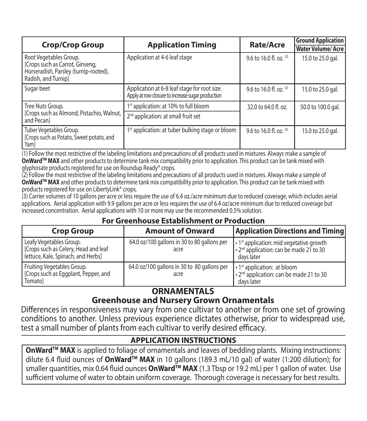| <b>Crop/Crop Group</b>                                                                                                    | <b>Application Timing</b>                                                                         | Rate/Acre                 | <b>Ground Application</b><br><b>Water Volume/Acre</b> |
|---------------------------------------------------------------------------------------------------------------------------|---------------------------------------------------------------------------------------------------|---------------------------|-------------------------------------------------------|
| Root Vegetables Group.<br>[Crops such as Carrot, Ginseng,<br>Horseradish, Parsley (turnip-rooted),<br>Radish, and Turnip] | Application at 4-6 leaf stage                                                                     | 9.6 to 16.0 fl. oz. (3)   | 15.0 to 25.0 gal.                                     |
| Sugar beet                                                                                                                | Application at 6-8 leaf stage for root size.<br>Apply at row closure to increase sugar production | 9.6 to 16.0 fl. oz. (3)   | 15.0 to 25.0 gal.                                     |
| Tree Nuts Group.                                                                                                          | 1st application: at 10% to full bloom                                                             | 32.0 to 64.0 fl. oz.      | 50.0 to 100.0 gal.                                    |
| [Crops such as Almond, Pistachio, Walnut,<br>and Pecanl                                                                   | 2 <sup>nd</sup> application: at small fruit set                                                   |                           |                                                       |
| Tuber Vegetables Group.<br>[Crops such as Potato, Sweet potato, and<br>Yam]                                               | 1st application: at tuber bulking stage or bloom                                                  | 9.6 to 16.0 fl, oz, $(3)$ | 15.0 to 25.0 gal.                                     |

(1) Follow the most restrictive of the labeling limitations and precautions of all products used in mixtures. Always make a sample of **OnWardTM MAX** and other products to determine tank mix compatibility prior to application. This product can be tank mixed with glyphosate products registered for use on Roundup Ready® crops.

(2) Follow the most restrictive of the labeling limitations and precautions of all products used in mixtures. Always make a sample of **OnWard™ MAX** and other products to determine tank mix compatibility prior to application. This product can be tank mixed with products registered for use on LibertyLink® crops.

(3) Carrier volumes of 10 gallons per acre or less require the use of 6.4 oz./acre minimum due to reduced coverage, which includes aerial applications. Aerial application with 9.9 gallons per acre or less requires the use of 6.4 oz/acre minimum due to reduced coverage but increased concentration. Aerial applications with 10 or more may use the recommended 0.5% solution.

#### **For Greenhouse Establishment or Production**

| <b>Crop Group</b>                                                                                     | <b>Amount of Onward</b>                             | <b>Application Directions and Timing</b>                                                                                        |  |
|-------------------------------------------------------------------------------------------------------|-----------------------------------------------------|---------------------------------------------------------------------------------------------------------------------------------|--|
| Leafy Vegetables Group.<br>[Crops such as Celery, Head and leaf<br>lettuce, Kale, Spinach, and Herbs] | 64.0 oz/100 gallons in 30 to 80 gallons per<br>acre | $\cdot$ 1 <sup>st</sup> application: mid vegetative growth<br>. 2 <sup>nd</sup> application: can be made 21 to 30<br>davs later |  |
| Fruiting Vegetables Group.<br>[Crops such as Eggplant, Pepper, and<br>Tomatol                         | 64.0 oz/100 gallons in 30 to 80 gallons per<br>acre | • 1 <sup>st</sup> application: at bloom<br>• 2 <sup>nd</sup> application: can be made 21 to 30<br>davs later                    |  |

### **ORNAMENTALS**

### **Greenhouse and Nursery Grown Ornamentals**

Differences in responsiveness may vary from one cultivar to another or from one set of growing conditions to another. Unless previous experience dictates otherwise, prior to widespread use, test a small number of plants from each cultivar to verify desired efficacy.

#### **APPLICATION INSTRUCTIONS**

**OnWardTM MAX** is applied to foliage of ornamentals and leaves of bedding plants. Mixing instructions: dilute 6.4 fluid ounces of OnWard™ MAX in 10 gallons (189.3 mL/10 gal) of water (1:200 dilution); for smaller quantities, mix 0.64 fluid ounces **OnWard™ MAX** (1.3 Tbsp or 19.2 mL) per 1 gallon of water. Use sufficient volume of water to obtain uniform coverage. Thorough coverage is necessary for best results.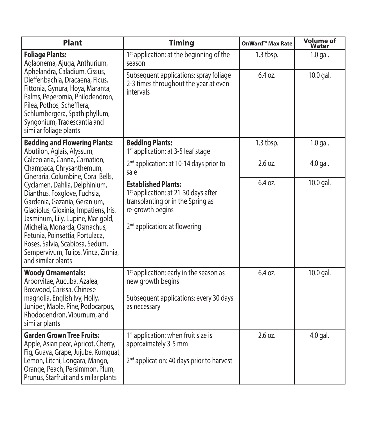| Plant                                                                                                                                                                                                                                                                                                                                                                                | <b>Timing</b>                                                                                                                                                                        | OnWard™ Max Rate | <b>Volume of</b><br>Water |
|--------------------------------------------------------------------------------------------------------------------------------------------------------------------------------------------------------------------------------------------------------------------------------------------------------------------------------------------------------------------------------------|--------------------------------------------------------------------------------------------------------------------------------------------------------------------------------------|------------------|---------------------------|
| <b>Foliage Plants:</b><br>Aglaonema, Ajuga, Anthurium,<br>Aphelandra, Caladium, Cissus,<br>Dieffenbachia, Dracaena, Ficus,<br>Fittonia, Gynura, Hoya, Maranta,<br>Palms, Peperomia, Philodendron,<br>Pilea, Pothos, Schefflera,<br>Schlumbergera, Spathiphyllum,<br>Syngonium, Tradescantia and<br>similar foliage plants                                                            | 1 <sup>st</sup> application: at the beginning of the<br>season                                                                                                                       | 1.3 tbsp.        | $1.0$ gal.                |
|                                                                                                                                                                                                                                                                                                                                                                                      | Subsequent applications: spray foliage<br>2-3 times throughout the year at even<br>intervals                                                                                         | 6.4 oz.          | 10.0 gal.                 |
| <b>Bedding and Flowering Plants:</b><br>Abutilon, Aglais, Alyssum,                                                                                                                                                                                                                                                                                                                   | <b>Bedding Plants:</b><br>1 <sup>st</sup> application: at 3-5 leaf stage                                                                                                             | 1.3 tbsp.        | $1.0$ gal.                |
| Calceolaria, Canna, Carnation,<br>Champaca, Chrysanthemum,                                                                                                                                                                                                                                                                                                                           | 2 <sup>nd</sup> application: at 10-14 days prior to<br>sale                                                                                                                          | 2.6 oz.          | 4.0 gal.                  |
| Cineraria, Columbine, Coral Bells,<br>Cyclamen, Dahlia, Delphinium,<br>Dianthus, Foxglove, Fuchsia,<br>Gardenia, Gazania, Geranium,<br>Gladiolus, Gloxinia, Impatiens, Iris,<br>Jasminum, Lily, Lupine, Marigold,<br>Michelia, Monarda, Osmachus,<br>Petunia, Poinsettia, Portulaca,<br>Roses, Salvia, Scabiosa, Sedum,<br>Sempervivum, Tulips, Vinca, Zinnia,<br>and similar plants | <b>Established Plants:</b><br>1 <sup>st</sup> application: at 21-30 days after<br>transplanting or in the Spring as<br>re-growth begins<br>2 <sup>nd</sup> application: at flowering | 6.4 oz.          | 10.0 gal.                 |
| <b>Woody Ornamentals:</b><br>Arborvitae, Aucuba, Azalea,<br>Boxwood, Carissa, Chinese<br>magnolia, English Ivy, Holly,<br>Juniper, Maple, Pine, Podocarpus,<br>Rhododendron, Viburnum, and<br>similar plants                                                                                                                                                                         | 1st application: early in the season as<br>new growth begins<br>Subsequent applications: every 30 days<br>as necessary                                                               | 6.4 oz.          | 10.0 gal.                 |
| <b>Garden Grown Tree Fruits:</b><br>Apple, Asian pear, Apricot, Cherry,<br>Fig, Guava, Grape, Jujube, Kumquat,<br>Lemon, Litchi, Longara, Mango,<br>Orange, Peach, Persimmon, Plum,<br>Prunus, Starfruit and similar plants                                                                                                                                                          | 1 <sup>st</sup> application: when fruit size is<br>approximately 3-5 mm<br>2 <sup>nd</sup> application: 40 days prior to harvest                                                     | 2.6 oz.          | 4.0 gal.                  |